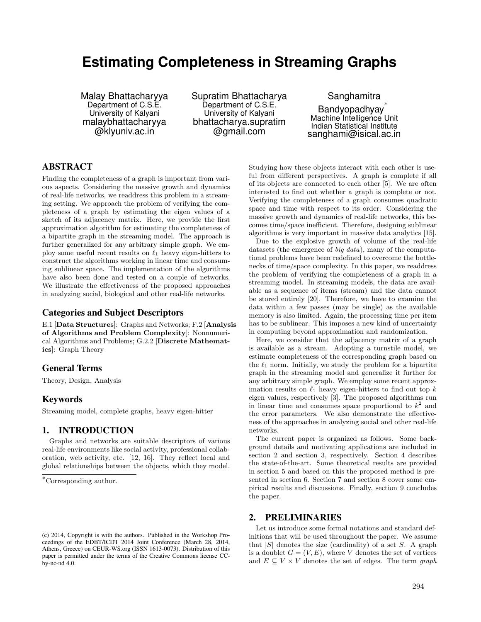# **Estimating Completeness in Streaming Graphs**

Malay Bhattacharyya Department of C.S.E. University of Kalyani malaybhattacharyya @klyuniv.ac.in

Supratim Bhattacharya Department of C.S.E. University of Kalyani bhattacharya.supratim @gmail.com

Sanghamitra Bandyopadhyay Machine Intelligence Unit Indian Statistical Institute sanghami@isical.ac.in

# **ABSTRACT**

Finding the completeness of a graph is important from various aspects. Considering the massive growth and dynamics of real-life networks, we readdress this problem in a streaming setting. We approach the problem of verifying the completeness of a graph by estimating the eigen values of a sketch of its adjacency matrix. Here, we provide the first approximation algorithm for estimating the completeness of a bipartite graph in the streaming model. The approach is further generalized for any arbitrary simple graph. We employ some useful recent results on  $\ell_1$  heavy eigen-hitters to construct the algorithms working in linear time and consuming sublinear space. The implementation of the algorithms have also been done and tested on a couple of networks. We illustrate the effectiveness of the proposed approaches in analyzing social, biological and other real-life networks.

## **Categories and Subject Descriptors**

E.1 [Data Structures]: Graphs and Networks; F.2 [Analysis of Algorithms and Problem Complexity]: Nonnumerical Algorithms and Problems; G.2.2 [Discrete Mathematics]: Graph Theory

# **General Terms**

Theory, Design, Analysis

# **Keywords**

Streaming model, complete graphs, heavy eigen-hitter

# **1. INTRODUCTION**

Graphs and networks are suitable descriptors of various real-life environments like social activity, professional collaboration, web activity, etc. [12, 16]. They reflect local and global relationships between the objects, which they model. Studying how these objects interact with each other is useful from different perspectives. A graph is complete if all of its objects are connected to each other [5]. We are often interested to find out whether a graph is complete or not. Verifying the completeness of a graph consumes quadratic space and time with respect to its order. Considering the massive growth and dynamics of real-life networks, this becomes time/space inefficient. Therefore, designing sublinear algorithms is very important in massive data analytics [15].

Due to the explosive growth of volume of the real-life datasets (the emergence of *big data*), many of the computational problems have been redefined to overcome the bottlenecks of time/space complexity. In this paper, we readdress the problem of verifying the completeness of a graph in a streaming model. In streaming models, the data are available as a sequence of items (stream) and the data cannot be stored entirely [20]. Therefore, we have to examine the data within a few passes (may be single) as the available memory is also limited. Again, the processing time per item has to be sublinear. This imposes a new kind of uncertainty in computing beyond approximation and randomization.

Here, we consider that the adjacency matrix of a graph is available as a stream. Adopting a turnstile model, we estimate completeness of the corresponding graph based on the  $\ell_1$  norm. Initially, we study the problem for a bipartite graph in the streaming model and generalize it further for any arbitrary simple graph. We employ some recent approximation results on  $\ell_1$  heavy eigen-hitters to find out top  $k$ eigen values, respectively [3]. The proposed algorithms run in linear time and consumes space proportional to  $k^2$  and the error parameters. We also demonstrate the effectiveness of the approaches in analyzing social and other real-life networks.

The current paper is organized as follows. Some background details and motivating applications are included in section 2 and section 3, respectively. Section 4 describes the state-of-the-art. Some theoretical results are provided in section 5 and based on this the proposed method is presented in section 6. Section 7 and section 8 cover some empirical results and discussions. Finally, section 9 concludes the paper.

# **2. PRELIMINARIES**

Let us introduce some formal notations and standard definitions that will be used throughout the paper. We assume that  $|S|$  denotes the size (cardinality) of a set *S*. A graph is a doublet  $G = (V, E)$ , where *V* denotes the set of vertices and  $E \subseteq V \times V$  denotes the set of edges. The term *graph* 

<sup>⇤</sup>Corresponding author.

<sup>(</sup>c) 2014, Copyright is with the authors. Published in the Workshop Proceedings of the EDBT/ICDT 2014 Joint Conference (March 28, 2014, Athens, Greece) on CEUR-WS.org (ISSN 1613-0073). Distribution of this paper is permitted under the terms of the Creative Commons license CCby-nc-nd 4.0.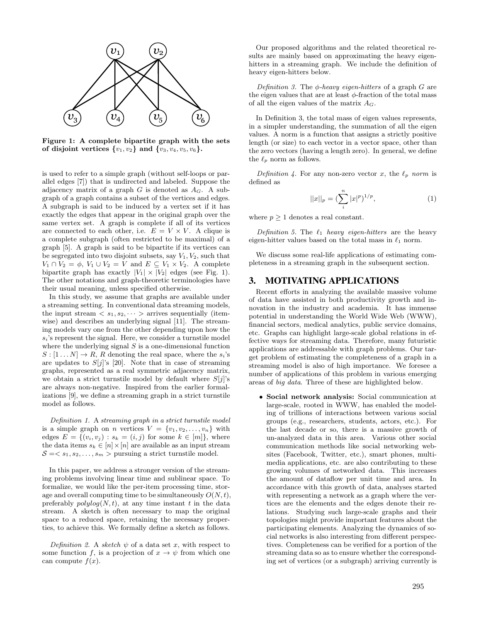

Figure 1: A complete bipartite graph with the sets of disjoint vertices  $\{v_1, v_2\}$  and  $\{v_3, v_4, v_5, v_6\}$ .

is used to refer to a simple graph (without self-loops or parallel edges [7]) that is undirected and labeled. Suppose the adjacency matrix of a graph  $G$  is denoted as  $A_G$ . A subgraph of a graph contains a subset of the vertices and edges. A subgraph is said to be induced by a vertex set if it has exactly the edges that appear in the original graph over the same vertex set. A graph is complete if all of its vertices are connected to each other, i.e.  $E = V \times V$ . A clique is a complete subgraph (often restricted to be maximal) of a graph [5]. A graph is said to be bipartite if its vertices can be segregated into two disjoint subsets, say *V*1*, V*2, such that  $V_1 \cap V_2 = \phi$ ,  $V_1 \cup V_2 = V$  and  $E \subseteq V_1 \times V_2$ . A complete bipartite graph has exactly  $|V_1| \times |V_2|$  edges (see Fig. 1). The other notations and graph-theoretic terminologies have their usual meaning, unless specified otherwise.

In this study, we assume that graphs are available under a streaming setting. In conventional data streaming models, the input stream  $\langle s_1, s_2, \cdots \rangle$  arrives sequentially (itemwise) and describes an underlying signal [11]. The streaming models vary one from the other depending upon how the  $s_i$ 's represent the signal. Here, we consider a turnstile model where the underlying signal *S* is a one-dimensional function  $S : [1 \dots N] \rightarrow R$ , *R* denoting the real space, where the *s*<sup>*i*</sup>s are updates to  $S[j]'s$  [20]. Note that in case of streaming graphs, represented as a real symmetric adjacency matrix, we obtain a strict turnstile model by default where *S*[*j*]'s are always non-negative. Inspired from the earlier formalizations [9], we define a streaming graph in a strict turnstile model as follows.

*Definition 1.* A *streaming graph in a strict turnstile model* is a simple graph on *n* vertices  $V = \{v_1, v_2, \ldots, v_n\}$  with edges  $E = \{(v_i, v_j) : s_k = (i, j) \text{ for some } k \in [m]\},\$ the data items  $s_k \in [n] \times [n]$  are available as an input stream  $S = \langle s_1, s_2, \ldots, s_m \rangle$  pursuing a strict turnstile model.

In this paper, we address a stronger version of the streaming problems involving linear time and sublinear space. To formalize, we would like the per-item processing time, storage and overall computing time to be simultaneously  $O(N, t)$ , preferably  $polylog(N, t)$ , at any time instant t in the data stream. A sketch is often necessary to map the original space to a reduced space, retaining the necessary properties, to achieve this. We formally define a sketch as follows.

*Definition 2.* A *sketch*  $\psi$  of a data set *x*, with respect to some function *f*, is a projection of  $x \to \psi$  from which one can compute  $f(x)$ .

Our proposed algorithms and the related theoretical results are mainly based on approximating the heavy eigenhitters in a streaming graph. We include the definition of heavy eigen-hitters below.

*Definition 3.* The  $\phi$ -heavy eigen-hitters of a graph *G* are the eigen values that are at least  $\phi$ -fraction of the total mass of all the eigen values of the matrix *AG*.

In Definition 3, the total mass of eigen values represents, in a simpler understanding, the summation of all the eigen values. A norm is a function that assigns a strictly positive length (or size) to each vector in a vector space, other than the zero vectors (having a length zero). In general, we define the  $\ell_p$  norm as follows.

*Definition 4.* For any non-zero vector *x*, the  $\ell_p$  *norm* is defined as

$$
||x||_p = \left(\sum_{i}^{n} |x|^p\right)^{1/p},\tag{1}
$$

where  $p > 1$  denotes a real constant.

*Definition 5.* The  $\ell_1$  *heavy eigen-hitters* are the heavy eigen-hitter values based on the total mass in  $\ell_1$  norm.

We discuss some real-life applications of estimating completeness in a streaming graph in the subsequent section.

# **3. MOTIVATING APPLICATIONS**

Recent efforts in analyzing the available massive volume of data have assisted in both productivity growth and innovation in the industry and academia. It has immense potential in understanding the World Wide Web (WWW), financial sectors, medical analytics, public service domains, etc. Graphs can highlight large-scale global relations in effective ways for streaming data. Therefore, many futuristic applications are addressable with graph problems. Our target problem of estimating the completeness of a graph in a streaming model is also of high importance. We foresee a number of applications of this problem in various emerging areas of *big data*. Three of these are highlighted below.

*•* Social network analysis: Social communication at large-scale, rooted in WWW, has enabled the modeling of trillions of interactions between various social groups (e.g., researchers, students, actors, etc.). For the last decade or so, there is a massive growth of un-analyzed data in this area. Various other social communication methods like social networking websites (Facebook, Twitter, etc.), smart phones, multimedia applications, etc. are also contributing to these growing volumes of networked data. This increases the amount of dataflow per unit time and area. In accordance with this growth of data, analyses started with representing a network as a graph where the vertices are the elements and the edges denote their relations. Studying such large-scale graphs and their topologies might provide important features about the participating elements. Analyzing the dynamics of social networks is also interesting from different perspectives. Completeness can be verified for a portion of the streaming data so as to ensure whether the corresponding set of vertices (or a subgraph) arriving currently is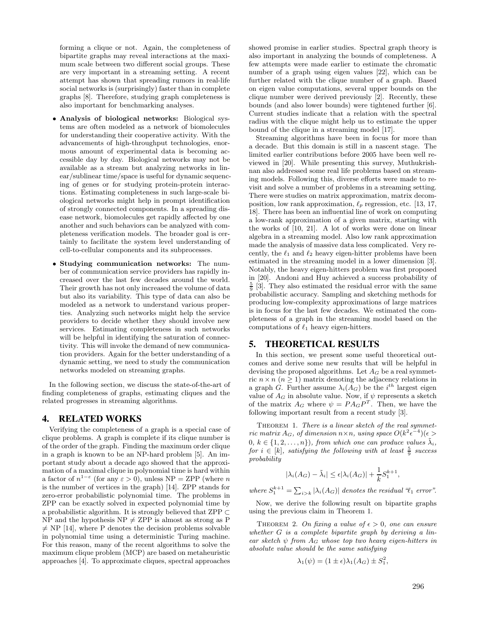forming a clique or not. Again, the completeness of bipartite graphs may reveal interactions at the maximum scale between two different social groups. These are very important in a streaming setting. A recent attempt has shown that spreading rumors in real-life social networks is (surprisingly) faster than in complete graphs [8]. Therefore, studying graph completeness is also important for benchmarking analyses.

- Analysis of biological networks: Biological systems are often modeled as a network of biomolecules for understanding their cooperative activity. With the advancements of high-throughput technologies, enormous amount of experimental data is becoming accessible day by day. Biological networks may not be available as a stream but analyzing networks in linear/sublinear time/space is useful for dynamic sequencing of genes or for studying protein-protein interactions. Estimating completeness in such large-scale biological networks might help in prompt identification of strongly connected components. In a spreading disease network, biomolecules get rapidly affected by one another and such behaviors can be analyzed with completeness verification models. The broader goal is certainly to facilitate the system level understanding of cell-to-cellular components and its subprocesses.
- *•* Studying communication networks: The number of communication service providers has rapidly increased over the last few decades around the world. Their growth has not only increased the volume of data but also its variability. This type of data can also be modeled as a network to understand various properties. Analyzing such networks might help the service providers to decide whether they should involve new services. Estimating completeness in such networks will be helpful in identifying the saturation of connectivity. This will invoke the demand of new communication providers. Again for the better understanding of a dynamic setting, we need to study the communication networks modeled on streaming graphs.

In the following section, we discuss the state-of-the-art of finding completeness of graphs, estimating cliques and the related progresses in streaming algorithms.

## **4. RELATED WORKS**

Verifying the completeness of a graph is a special case of clique problems. A graph is complete if its clique number is of the order of the graph. Finding the maximum order clique in a graph is known to be an NP-hard problem [5]. An important study about a decade ago showed that the approximation of a maximal clique in polynomial time is hard within a factor of  $n^{1-\epsilon}$  (for any  $\epsilon > 0$ ), unless NP = ZPP (where *n* is the number of vertices in the graph) [14]. ZPP stands for zero-error probabilistic polynomial time. The problems in ZPP can be exactly solved in expected polynomial time by a probabilistic algorithm. It is strongly believed that ZPP  $\subset$ NP and the hypothesis  $NP \neq ZPP$  is almost as strong as P  $\neq$  NP [14], where P denotes the decision problems solvable in polynomial time using a deterministic Turing machine. For this reason, many of the recent algorithms to solve the maximum clique problem (MCP) are based on metaheuristic approaches [4]. To approximate cliques, spectral approaches

showed promise in earlier studies. Spectral graph theory is also important in analyzing the bounds of completeness. A few attempts were made earlier to estimate the chromatic number of a graph using eigen values [22], which can be further related with the clique number of a graph. Based on eigen value computations, several upper bounds on the clique number were derived previously [2]. Recently, these bounds (and also lower bounds) were tightened further [6]. Current studies indicate that a relation with the spectral radius with the clique might help us to estimate the upper bound of the clique in a streaming model [17].

Streaming algorithms have been in focus for more than a decade. But this domain is still in a nascent stage. The limited earlier contributions before 2005 have been well reviewed in [20]. While presenting this survey, Muthukrishnan also addressed some real life problems based on streaming models. Following this, diverse efforts were made to revisit and solve a number of problems in a streaming setting. There were studies on matrix approximation, matrix decomposition, low rank approximation,  $\ell_p$  regression, etc. [13, 17, 18]. There has been an influential line of work on computing a low-rank approximation of a given matrix, starting with the works of [10, 21]. A lot of works were done on linear algebra in a streaming model. Also low rank approximation made the analysis of massive data less complicated. Very recently, the  $\ell_1$  and  $\ell_2$  heavy eigen-hitter problems have been estimated in the streaming model in a lower dimension [3]. Notably, the heavy eigen-hitters problem was first proposed in [20]. Andoni and Huy achieved a success probability of  $\frac{5}{9}$  [3]. They also estimated the residual error with the same probabilistic accuracy. Sampling and sketching methods for producing low-complexity approximations of large matrices is in focus for the last few decades. We estimated the completeness of a graph in the streaming model based on the computations of  $\ell_1$  heavy eigen-hitters.

## **5. THEORETICAL RESULTS**

In this section, we present some useful theoretical outcomes and derive some new results that will be helpful in devising the proposed algorithms. Let  $A_G$  be a real symmetric  $n \times n$  ( $n \geq 1$ ) matrix denoting the adjacency relations in a graph *G*. Further assume  $\lambda_i(A_G)$  be the *i*<sup>th</sup> largest eigen value of  $A_G$  in absolute value. Now, if  $\psi$  represents a sketch of the matrix  $A_G$  where  $\psi = P A_G P^T$ . Then, we have the following important result from a recent study [3].

THEOREM 1. *There is a linear sketch of the real symmetric matrix*  $A_G$ *, of dimension*  $n \times n$ *, using space*  $O(k^2 \epsilon^{-4})(\epsilon)$ 0,  $k \in \{1, 2, \ldots, n\}$ , from which one can produce values  $\tilde{\lambda}_i$ , *for*  $i \in [k]$ *, satisfying the following with at least*  $\frac{5}{9}$  *success probability*

$$
|\lambda_i(A_G) - \tilde{\lambda}_i| \le \epsilon |\lambda_i(A_G)| + \frac{1}{k} S_1^{k+1},
$$

*where*  $S_1^{k+1} = \sum_{i>k} |\lambda_i(A_G)|$  *denotes the residual* " $\ell_1$  *error".* 

Now, we derive the following result on bipartite graphs using the previous claim in Theorem 1.

THEOREM 2. On fixing a value of  $\epsilon > 0$ , one can ensure *whether G is a complete bipartite graph by deriving a linear sketch*  $\psi$  *from*  $A_G$  *whose top two heavy eigen-hitters in absolute value should be the same satisfying*

$$
\lambda_1(\psi) = (1 \pm \epsilon) \lambda_1(A_G) \pm S_1^2,
$$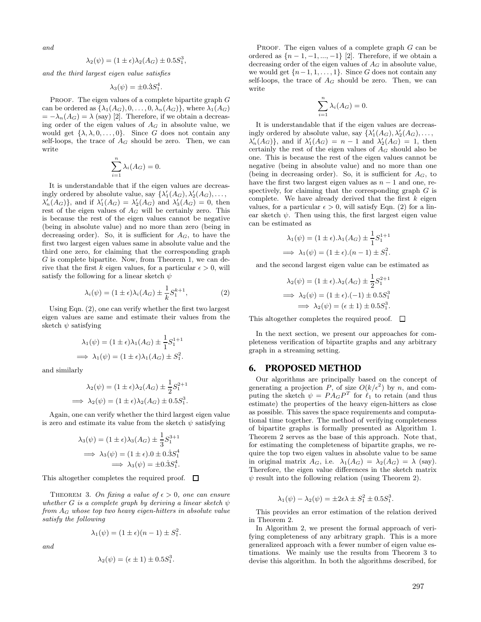*and*

$$
\lambda_2(\psi) = (1 \pm \epsilon) \lambda_2(A_G) \pm 0.5S_1^3,
$$

*and the third largest eigen value satisfies*

$$
\lambda_3(\psi) = \pm 0.3S_1^4.
$$

PROOF. The eigen values of a complete bipartite graph *G* can be ordered as  $\{\lambda_1(A_G), 0, \ldots, 0, \lambda_n(A_G)\}$ , where  $\lambda_1(A_G)$  $= -\lambda_n(A_G) = \lambda$  (say) [2]. Therefore, if we obtain a decreasing order of the eigen values of  $A_G$  in absolute value, we would get  $\{\lambda, \lambda, 0, \ldots, 0\}$ . Since *G* does not contain any self-loops, the trace of  $A_G$  should be zero. Then, we can write

$$
\sum_{i=1}^{n} \lambda_i(A_G) = 0.
$$

It is understandable that if the eigen values are decreasingly ordered by absolute value, say  $\{\lambda'_1(A_G), \lambda'_2(A_G), \ldots, \lambda'_d(A_G)\}$  $\lambda'_n(A_G)$ , and if  $\lambda'_1(A_G) = \lambda'_2(A_G)$  and  $\lambda'_3(A_G) = 0$ , then rest of the eigen values of  $A_G$  will be certainly zero. This is because the rest of the eigen values cannot be negative (being in absolute value) and no more than zero (being in decreasing order). So, it is sufficient for  $A_G$ , to have the first two largest eigen values same in absolute value and the third one zero, for claiming that the corresponding graph *G* is complete bipartite. Now, from Theorem 1, we can derive that the first *k* eigen values, for a particular  $\epsilon > 0$ , will satisfy the following for a linear sketch  $\psi$ 

$$
\lambda_i(\psi) = (1 \pm \epsilon)\lambda_i(A_G) \pm \frac{1}{k} S_1^{k+1},\tag{2}
$$

Using Eqn. (2), one can verify whether the first two largest eigen values are same and estimate their values from the sketch  $\psi$  satisfying

$$
\lambda_1(\psi) = (1 \pm \epsilon) \lambda_1(A_G) \pm \frac{1}{1} S_1^{1+1}
$$
  

$$
\implies \lambda_1(\psi) = (1 \pm \epsilon) \lambda_1(A_G) \pm S_1^2.
$$

and similarly

$$
\lambda_2(\psi) = (1 \pm \epsilon) \lambda_2(A_G) \pm \frac{1}{2} S_1^{2+1}
$$
  
\n
$$
\implies \lambda_2(\psi) = (1 \pm \epsilon) \lambda_2(A_G) \pm 0.5 S_1^3.
$$

Again, one can verify whether the third largest eigen value is zero and estimate its value from the sketch  $\psi$  satisfying

$$
\lambda_3(\psi) = (1 \pm \epsilon) \lambda_3(A_G) \pm \frac{1}{3} S_1^{3+1}
$$
  
\n
$$
\implies \lambda_3(\psi) = (1 \pm \epsilon) . 0 \pm 0 . 3 S_1^4
$$
  
\n
$$
\implies \lambda_3(\psi) = \pm 0 . 3 S_1^4.
$$

This altogether completes the required proof.  $\Box$ 

THEOREM 3. On fixing a value of  $\epsilon > 0$ , one can ensure *whether G is a complete graph by deriving a linear sketch*  $\psi$ *from A<sup>G</sup> whose top two heavy eigen-hitters in absolute value satisfy the following*

$$
\lambda_1(\psi) = (1 \pm \epsilon)(n-1) \pm S_1^2.
$$

*and*

$$
\lambda_2(\psi) = (\epsilon \pm 1) \pm 0.5S_1^3.
$$

PROOF. The eigen values of a complete graph *G* can be ordered as  $\{n-1, -1, ..., -1\}$  [2]. Therefore, if we obtain a decreasing order of the eigen values of *A<sup>G</sup>* in absolute value, we would get  $\{n-1, 1, \ldots, 1\}$ . Since *G* does not contain any self-loops, the trace of  $A_G$  should be zero. Then, we can write

$$
\sum_{i=1}^{n} \lambda_i(A_G) = 0.
$$

It is understandable that if the eigen values are decreasingly ordered by absolute value, say  $\{\lambda'_1(A_G), \lambda'_2(A_G), \ldots, \lambda'_d(A_G)\}$  $\lambda'_n(A_G)$ , and if  $\lambda'_1(A_G) = n - 1$  and  $\lambda'_2(A_G) = 1$ , then certainly the rest of the eigen values of  $A_G$  should also be one. This is because the rest of the eigen values cannot be negative (being in absolute value) and no more than one (being in decreasing order). So, it is sufficient for  $A_G$ , to have the first two largest eigen values as  $n-1$  and one, respectively, for claiming that the corresponding graph *G* is complete. We have already derived that the first *k* eigen values, for a particular  $\epsilon > 0$ , will satisfy Eqn. (2) for a linear sketch  $\psi$ . Then using this, the first largest eigen value can be estimated as

$$
\lambda_1(\psi) = (1 \pm \epsilon) \cdot \lambda_1(A_G) \pm \frac{1}{1} S_1^{1+1}
$$
  

$$
\implies \lambda_1(\psi) = (1 \pm \epsilon) \cdot (n-1) \pm S_1^2.
$$

and the second largest eigen value can be estimated as

$$
\lambda_2(\psi) = (1 \pm \epsilon) \cdot \lambda_2(A_G) \pm \frac{1}{2} S_1^{2+1}
$$
  
\n
$$
\implies \lambda_2(\psi) = (1 \pm \epsilon) \cdot (-1) \pm 0.5 S_1^3
$$
  
\n
$$
\implies \lambda_2(\psi) = (\epsilon \pm 1) \pm 0.5 S_1^3.
$$

This altogether completes the required proof.  $\Box$ 

In the next section, we present our approaches for completeness verification of bipartite graphs and any arbitrary graph in a streaming setting.

#### **6. PROPOSED METHOD**

Our algorithms are principally based on the concept of generating a projection P, of size  $O(k/\epsilon^2)$  by n, and computing the sketch  $\psi = P A_G P^T$  for  $\ell_1$  to retain (and thus estimate) the properties of the heavy eigen-hitters as close as possible. This saves the space requirements and computational time together. The method of verifying completeness of bipartite graphs is formally presented as Algorithm 1. Theorem 2 serves as the base of this approach. Note that, for estimating the completeness of bipartite graphs, we require the top two eigen values in absolute value to be same in original matrix  $A_G$ , i.e.  $\lambda_1(A_G) = \lambda_2(A_G) = \lambda$  (say). Therefore, the eigen value differences in the sketch matrix  $\psi$  result into the following relation (using Theorem 2).

$$
\lambda_1(\psi) - \lambda_2(\psi) = \pm 2\epsilon \lambda \pm S_1^2 \pm 0.5S_1^3.
$$

This provides an error estimation of the relation derived in Theorem 2.

In Algorithm 2, we present the formal approach of verifying completeness of any arbitrary graph. This is a more generalized approach with a fewer number of eigen value estimations. We mainly use the results from Theorem 3 to devise this algorithm. In both the algorithms described, for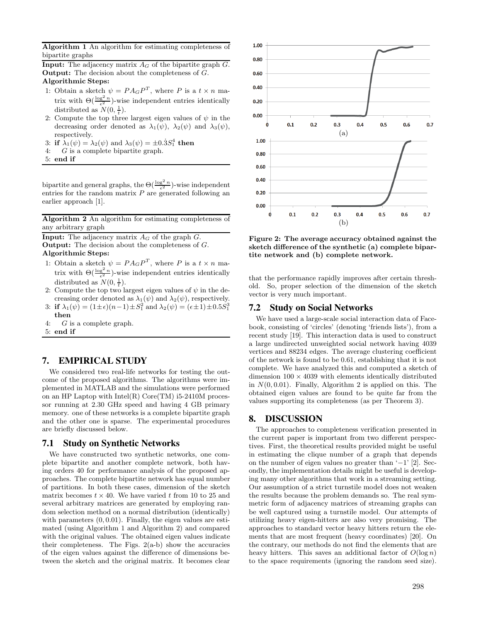Algorithm 1 An algorithm for estimating completeness of bipartite graphs

**Input:** The adjacency matrix  $A_G$  of the bipartite graph  $G$ . Output: The decision about the completeness of *G*. Algorithmic Steps:

- 1: Obtain a sketch  $\psi = PA<sub>G</sub>P<sup>T</sup>$ , where *P* is a  $t \times n$  matrix with  $\Theta(\frac{\log^2 n}{\epsilon^2})$ -wise independent entries identically distributed as  $N(0, \frac{1}{t})$ .
- 2: Compute the top three largest eigen values of  $\psi$  in the decreasing order denoted as  $\lambda_1(\psi)$ ,  $\lambda_2(\psi)$  and  $\lambda_3(\psi)$ , respectively.
- 3: if  $\lambda_1(\psi) = \lambda_2(\psi)$  and  $\lambda_3(\psi) = \pm 0.3S_1^4$  then
- 4: *G* is a complete bipartite graph.
- 5: end if

bipartite and general graphs, the  $\Theta(\frac{\log^2 n}{\epsilon^2})$ -wise independent entries for the random matrix *P* are generated following an earlier approach [1].

## Algorithm 2 An algorithm for estimating completeness of any arbitrary graph

**Input:** The adjacency matrix  $A_G$  of the graph  $G$ . Output: The decision about the completeness of *G*. Algorithmic Steps:

- 1: Obtain a sketch  $\psi = PA<sub>G</sub>P<sup>T</sup>$ , where *P* is a  $t \times n$  matrix with  $\Theta(\frac{\log^2 n}{\epsilon^2})$ -wise independent entries identically distributed as  $N(0, \frac{1}{t})$ .
- 2: Compute the top two largest eigen values of  $\psi$  in the decreasing order denoted as  $\lambda_1(\psi)$  and  $\lambda_2(\psi)$ , respectively.
- 3: if  $\lambda_1(\psi) = (1 \pm \epsilon)(n-1) \pm S_1^2$  and  $\lambda_2(\psi) = (\epsilon \pm 1) \pm 0.5S_1^3$ then
- 4: *G* is a complete graph.
- 5: end if

# **7. EMPIRICAL STUDY**

We considered two real-life networks for testing the outcome of the proposed algorithms. The algorithms were implemented in MATLAB and the simulations were performed on an HP Laptop with Intel(R) Core(TM) i5-2410M processor running at 2.30 GHz speed and having 4 GB primary memory. one of these networks is a complete bipartite graph and the other one is sparse. The experimental procedures are briefly discussed below.

## **7.1 Study on Synthetic Networks**

We have constructed two synthetic networks, one complete bipartite and another complete network, both having orders 40 for performance analysis of the proposed approaches. The complete bipartite network has equal number of partitions. In both these cases, dimension of the sketch matrix becomes  $t \times 40$ . We have varied t from 10 to 25 and several arbitrary matrices are generated by employing random selection method on a normal distribution (identically) with parameters  $(0, 0.01)$ . Finally, the eigen values are estimated (using Algorithm 1 and Algorithm 2) and compared with the original values. The obtained eigen values indicate their completeness. The Figs.  $2(a-b)$  show the accuracies of the eigen values against the difference of dimensions between the sketch and the original matrix. It becomes clear



Figure 2: The average accuracy obtained against the sketch difference of the synthetic (a) complete bipartite network and (b) complete network.

that the performance rapidly improves after certain threshold. So, proper selection of the dimension of the sketch vector is very much important.

## **7.2 Study on Social Networks**

We have used a large-scale social interaction data of Facebook, consisting of 'circles' (denoting 'friends lists'), from a recent study [19]. This interaction data is used to construct a large undirected unweighted social network having 4039 vertices and 88234 edges. The average clustering coefficient of the network is found to be 0.61, establishing that it is not complete. We have analyzed this and computed a sketch of dimension  $100 \times 4039$  with elements identically distributed in  $N(0, 0.01)$ . Finally, Algorithm 2 is applied on this. The obtained eigen values are found to be quite far from the values supporting its completeness (as per Theorem 3).

## **8. DISCUSSION**

The approaches to completeness verification presented in the current paper is important from two different perspectives. First, the theoretical results provided might be useful in estimating the clique number of a graph that depends on the number of eigen values no greater than  $-1$ ' [2]. Secondly, the implementation details might be useful is developing many other algorithms that work in a streaming setting. Our assumption of a strict turnstile model does not weaken the results because the problem demands so. The real symmetric form of adjacency matrices of streaming graphs can be well captured using a turnstile model. Our attempts of utilizing heavy eigen-hitters are also very promising. The approaches to standard vector heavy hitters return the elements that are most frequent (heavy coordinates) [20]. On the contrary, our methods do not find the elements that are heavy hitters. This saves an additional factor of  $O(\log n)$ to the space requirements (ignoring the random seed size).